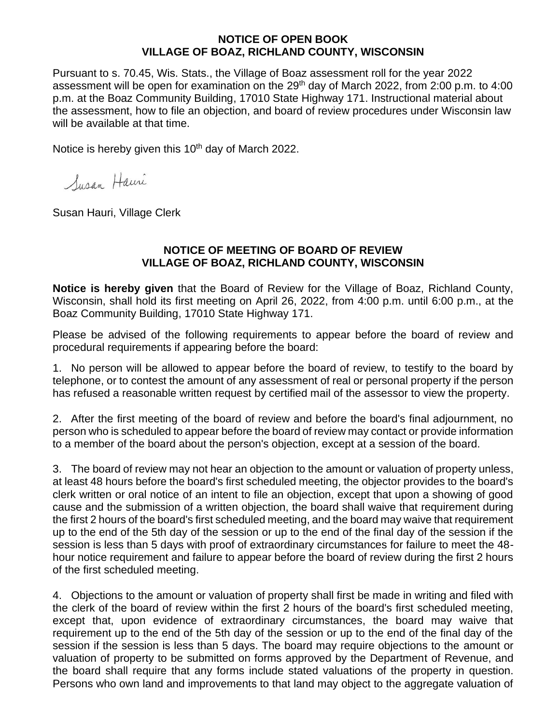## **NOTICE OF OPEN BOOK VILLAGE OF BOAZ, RICHLAND COUNTY, WISCONSIN**

Pursuant to s. 70.45, Wis. Stats., the Village of Boaz assessment roll for the year 2022 assessment will be open for examination on the 29<sup>th</sup> day of March 2022, from 2:00 p.m. to 4:00 p.m. at the Boaz Community Building, 17010 State Highway 171. Instructional material about the assessment, how to file an objection, and board of review procedures under Wisconsin law will be available at that time.

Notice is hereby given this 10<sup>th</sup> day of March 2022.

Susan Hauri

Susan Hauri, Village Clerk

## **NOTICE OF MEETING OF BOARD OF REVIEW VILLAGE OF BOAZ, RICHLAND COUNTY, WISCONSIN**

**Notice is hereby given** that the Board of Review for the Village of Boaz, Richland County, Wisconsin, shall hold its first meeting on April 26, 2022, from 4:00 p.m. until 6:00 p.m., at the Boaz Community Building, 17010 State Highway 171.

Please be advised of the following requirements to appear before the board of review and procedural requirements if appearing before the board:

1. No person will be allowed to appear before the board of review, to testify to the board by telephone, or to contest the amount of any assessment of real or personal property if the person has refused a reasonable written request by certified mail of the assessor to view the property.

2. After the first meeting of the board of review and before the board's final adjournment, no person who is scheduled to appear before the board of review may contact or provide information to a member of the board about the person's objection, except at a session of the board.

3. The board of review may not hear an objection to the amount or valuation of property unless, at least 48 hours before the board's first scheduled meeting, the objector provides to the board's clerk written or oral notice of an intent to file an objection, except that upon a showing of good cause and the submission of a written objection, the board shall waive that requirement during the first 2 hours of the board's first scheduled meeting, and the board may waive that requirement up to the end of the 5th day of the session or up to the end of the final day of the session if the session is less than 5 days with proof of extraordinary circumstances for failure to meet the 48 hour notice requirement and failure to appear before the board of review during the first 2 hours of the first scheduled meeting.

4. Objections to the amount or valuation of property shall first be made in writing and filed with the clerk of the board of review within the first 2 hours of the board's first scheduled meeting, except that, upon evidence of extraordinary circumstances, the board may waive that requirement up to the end of the 5th day of the session or up to the end of the final day of the session if the session is less than 5 days. The board may require objections to the amount or valuation of property to be submitted on forms approved by the Department of Revenue, and the board shall require that any forms include stated valuations of the property in question. Persons who own land and improvements to that land may object to the aggregate valuation of